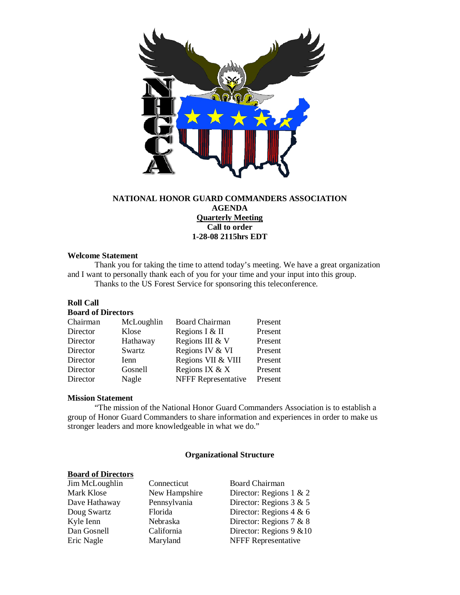

# **NATIONAL HONOR GUARD COMMANDERS ASSOCIATION AGENDA Quarterly Meeting Call to order 1-28-08 2115hrs EDT**

### **Welcome Statement**

Thank you for taking the time to attend today's meeting. We have a great organization and I want to personally thank each of you for your time and your input into this group. Thanks to the US Forest Service for sponsoring this teleconference.

# **Roll Call**

#### **Board of Directors**

| Chairman | McLoughlin | <b>Board Chairman</b>      | Present |
|----------|------------|----------------------------|---------|
| Director | Klose      | Regions I & II             | Present |
| Director | Hathaway   | Regions III & V            | Present |
| Director | Swartz     | Regions IV & VI            | Present |
| Director | Ienn       | Regions VII & VIII         | Present |
| Director | Gosnell    | Regions IX & X             | Present |
| Director | Nagle      | <b>NFFF Representative</b> | Present |

### **Mission Statement**

"The mission of the National Honor Guard Commanders Association is to establish a group of Honor Guard Commanders to share information and experiences in order to make us stronger leaders and more knowledgeable in what we do."

#### **Organizational Structure**

# **Board of Directors**

Jim McLoughlin Connecticut Board Chairman

Mark Klose New Hampshire Director: Regions 1 & 2 Dave Hathaway Pennsylvania Director: Regions 3 & 5 Doug Swartz Florida Director: Regions 4 & 6<br>
Kyle Ienn Nebraska Director: Regions 7 & 8 Director: Regions 7  $& 8$ Dan Gosnell California Director: Regions 9 &10 Eric Nagle Maryland NFFF Representative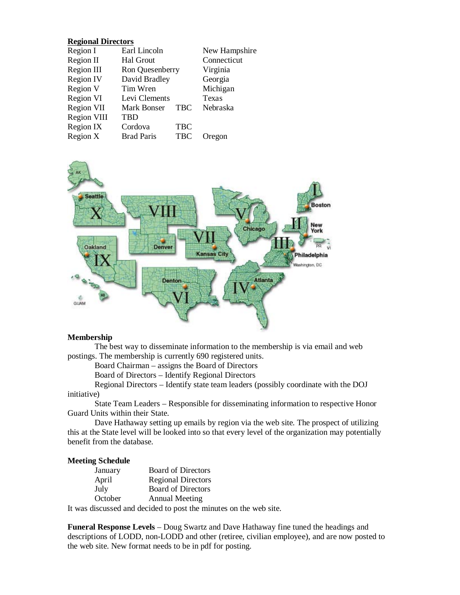# **Regional Directors**

| Region I         | Earl Lincoln      |            | New Hampshire |
|------------------|-------------------|------------|---------------|
| Region II        | Hal Grout         |            | Connecticut   |
| Region III       | Ron Quesenberry   |            | Virginia      |
| <b>Region IV</b> | David Bradley     |            | Georgia       |
| Region V         | Tim Wren          |            | Michigan      |
| Region VI        | Levi Clements     |            | Texas         |
| Region VII       | Mark Bonser       | <b>TBC</b> | Nebraska      |
| Region VIII      | TBD               |            |               |
| Region IX        | Cordova           | <b>TBC</b> |               |
| Region X         | <b>Brad Paris</b> | <b>TBC</b> | Oregon        |



### **Membership**

The best way to disseminate information to the membership is via email and web postings. The membership is currently 690 registered units.

Board Chairman – assigns the Board of Directors

Board of Directors – Identify Regional Directors

Regional Directors – Identify state team leaders (possibly coordinate with the DOJ initiative)

State Team Leaders – Responsible for disseminating information to respective Honor Guard Units within their State.

Dave Hathaway setting up emails by region via the web site. The prospect of utilizing this at the State level will be looked into so that every level of the organization may potentially benefit from the database.

### **Meeting Schedule**

| January | <b>Board of Directors</b> |
|---------|---------------------------|
| April   | <b>Regional Directors</b> |
| July    | <b>Board of Directors</b> |
| October | <b>Annual Meeting</b>     |

It was discussed and decided to post the minutes on the web site.

**Funeral Response Levels** – Doug Swartz and Dave Hathaway fine tuned the headings and descriptions of LODD, non-LODD and other (retiree, civilian employee), and are now posted to the web site. New format needs to be in pdf for posting.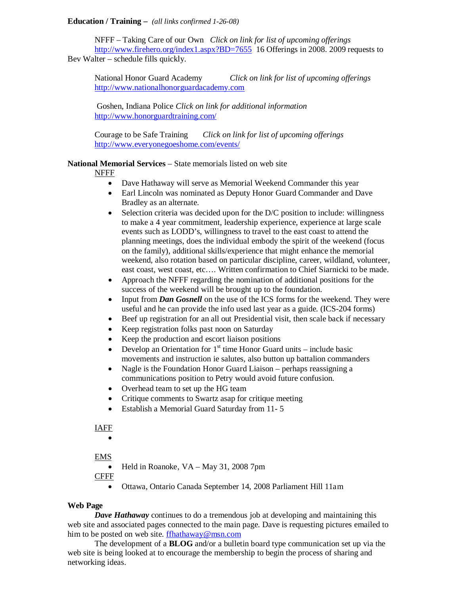### **Education / Training –** *(all links confirmed 1-26-08)*

NFFF – Taking Care of our Own *Click on link for list of upcoming offerings* <http://www.firehero.org/index1.aspx?BD=7655>16 Offerings in 2008. 2009 requests to Bev Walter – schedule fills quickly.

National Honor Guard Academy *Click on link for list of upcoming offerings* [http://www.nationalhonorguardacademy.com](http://www.nationalhonorguardacademy.com/)

Goshen, Indiana Police *Click on link for additional information* <http://www.honorguardtraining.com/>

Courage to be Safe Training *Click on link for list of upcoming offerings* <http://www.everyonegoeshome.com/events/>

# **National Memorial Services** – State memorials listed on web site

# NFFF

- Dave Hathaway will serve as Memorial Weekend Commander this year
- Earl Lincoln was nominated as Deputy Honor Guard Commander and Dave Bradley as an alternate.
- Selection criteria was decided upon for the D/C position to include: willingness to make a 4 year commitment, leadership experience, experience at large scale events such as LODD's, willingness to travel to the east coast to attend the planning meetings, does the individual embody the spirit of the weekend (focus on the family), additional skills/experience that might enhance the memorial weekend, also rotation based on particular discipline, career, wildland, volunteer, east coast, west coast, etc…. Written confirmation to Chief Siarnicki to be made.
- Approach the NFFF regarding the nomination of additional positions for the success of the weekend will be brought up to the foundation.
- Input from *Dan Gosnell* on the use of the ICS forms for the weekend. They were useful and he can provide the info used last year as a guide. (ICS-204 forms)
- Beef up registration for an all out Presidential visit, then scale back if necessary
- Keep registration folks past noon on Saturday
- Keep the production and escort liaison positions
- Develop an Orientation for  $1<sup>st</sup>$  time Honor Guard units include basic movements and instruction ie salutes, also button up battalion commanders
- Nagle is the Foundation Honor Guard Liaison perhaps reassigning a communications position to Petry would avoid future confusion.
- Overhead team to set up the HG team
- Critique comments to Swartz asap for critique meeting
- Establish a Memorial Guard Saturday from 11- 5

# IAFF

•

# EMS

- Held in Roanoke, VA May 31, 2008 7pm
- CFFF
	- Ottawa, Ontario Canada September 14, 2008 Parliament Hill 11am

### **Web Page**

*Dave Hathaway* continues to do a tremendous job at developing and maintaining this web site and associated pages connected to the main page. Dave is requesting pictures emailed to him to be posted on web site. [ffhathaway@msn.com](mailto:ffhathaway@msn.com)

The development of a **BLOG** and/or a bulletin board type communication set up via the web site is being looked at to encourage the membership to begin the process of sharing and networking ideas.